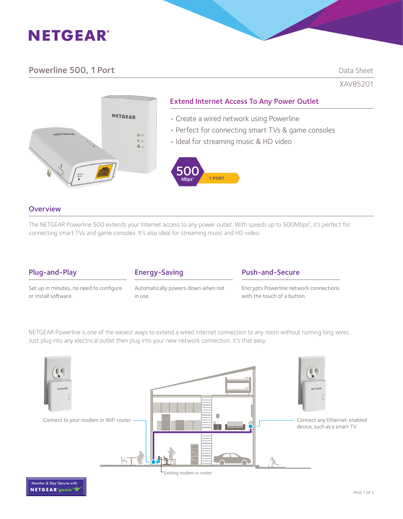# **NETGEAR®**

## Powerline 500, 1 Port Data Sheet

XAVB5201



## Extend Internet Access To Any Power Outlet

- Create a wired network using Powerline
- Perfect for connecting smart TVs & game consoles
- Ideal for streaming music & HD video



#### **Overview**

The NETGEAR Powerline 500 extends your Internet access to any power outlet. With speeds up to 500Mbps† , it's perfect for connecting smart TVs and game consoles. It's also ideal for streaming music and HD video.

## Plug-and-Play

Set up in minutes, no need to configure or install software.

| Automatically powers down when not |
|------------------------------------|
| in use.                            |

Energy-Saving

### Push-and-Secure

Encrypts Powerline network connections with the touch of a button.

NETGEAR Powerline is one of the easiest ways to extend a wired Internet connection to any room without running long wires. Just plug into any electrical outlet then plug into your new network connection. It's that easy.